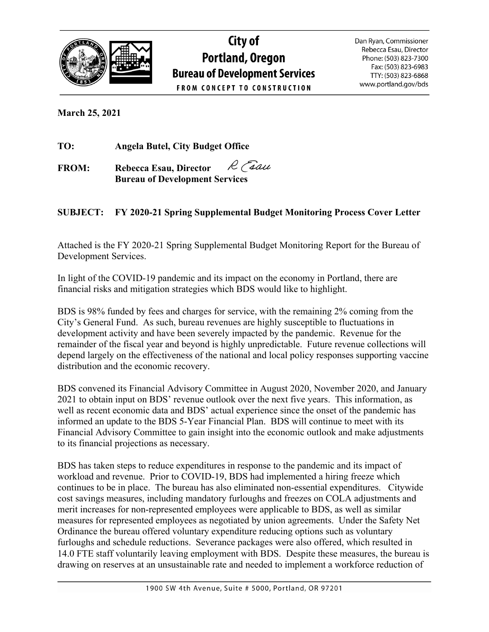

# City of **Portland, Oregon Bureau of Development Services FROM CONCEPT TO CONSTRUCTION**

Dan Ryan, Commissioner Rebecca Esau, Director Phone: (503) 823-7300 Fax: (503) 823-6983 TTY: (503) 823-6868 www.portland.gov/bds

**March 25, 2021** 

**TO: Angela Butel, City Budget Office**

R Face **FROM: Rebecca Esau, Director Bureau of Development Services**

# **SUBJECT: FY 2020-21 Spring Supplemental Budget Monitoring Process Cover Letter**

Attached is the FY 2020-21 Spring Supplemental Budget Monitoring Report for the Bureau of Development Services.

In light of the COVID-19 pandemic and its impact on the economy in Portland, there are financial risks and mitigation strategies which BDS would like to highlight.

BDS is 98% funded by fees and charges for service, with the remaining 2% coming from the City's General Fund. As such, bureau revenues are highly susceptible to fluctuations in development activity and have been severely impacted by the pandemic. Revenue for the remainder of the fiscal year and beyond is highly unpredictable. Future revenue collections will depend largely on the effectiveness of the national and local policy responses supporting vaccine distribution and the economic recovery.

BDS convened its Financial Advisory Committee in August 2020, November 2020, and January 2021 to obtain input on BDS' revenue outlook over the next five years. This information, as well as recent economic data and BDS' actual experience since the onset of the pandemic has informed an update to the BDS 5-Year Financial Plan. BDS will continue to meet with its Financial Advisory Committee to gain insight into the economic outlook and make adjustments to its financial projections as necessary.

BDS has taken steps to reduce expenditures in response to the pandemic and its impact of workload and revenue. Prior to COVID-19, BDS had implemented a hiring freeze which continues to be in place. The bureau has also eliminated non-essential expenditures. Citywide cost savings measures, including mandatory furloughs and freezes on COLA adjustments and merit increases for non-represented employees were applicable to BDS, as well as similar measures for represented employees as negotiated by union agreements. Under the Safety Net Ordinance the bureau offered voluntary expenditure reducing options such as voluntary furloughs and schedule reductions. Severance packages were also offered, which resulted in 14.0 FTE staff voluntarily leaving employment with BDS. Despite these measures, the bureau is drawing on reserves at an unsustainable rate and needed to implement a workforce reduction of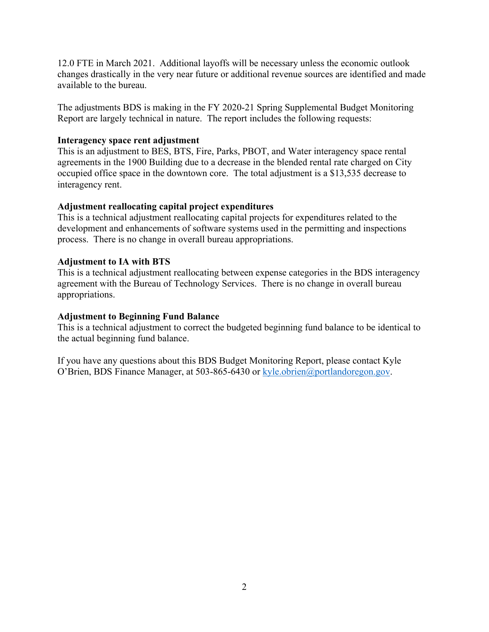12.0 FTE in March 2021. Additional layoffs will be necessary unless the economic outlook changes drastically in the very near future or additional revenue sources are identified and made available to the bureau.

The adjustments BDS is making in the FY 2020-21 Spring Supplemental Budget Monitoring Report are largely technical in nature. The report includes the following requests:

### **Interagency space rent adjustment**

This is an adjustment to BES, BTS, Fire, Parks, PBOT, and Water interagency space rental agreements in the 1900 Building due to a decrease in the blended rental rate charged on City occupied office space in the downtown core. The total adjustment is a \$13,535 decrease to interagency rent.

### **Adjustment reallocating capital project expenditures**

This is a technical adjustment reallocating capital projects for expenditures related to the development and enhancements of software systems used in the permitting and inspections process. There is no change in overall bureau appropriations.

### **Adjustment to IA with BTS**

This is a technical adjustment reallocating between expense categories in the BDS interagency agreement with the Bureau of Technology Services. There is no change in overall bureau appropriations.

### **Adjustment to Beginning Fund Balance**

This is a technical adjustment to correct the budgeted beginning fund balance to be identical to the actual beginning fund balance.

If you have any questions about this BDS Budget Monitoring Report, please contact Kyle O'Brien, BDS Finance Manager, at 503-865-6430 or [kyle.obrien@portlandoregon.gov.](mailto:kyle.obrien@portlandoregon.gov)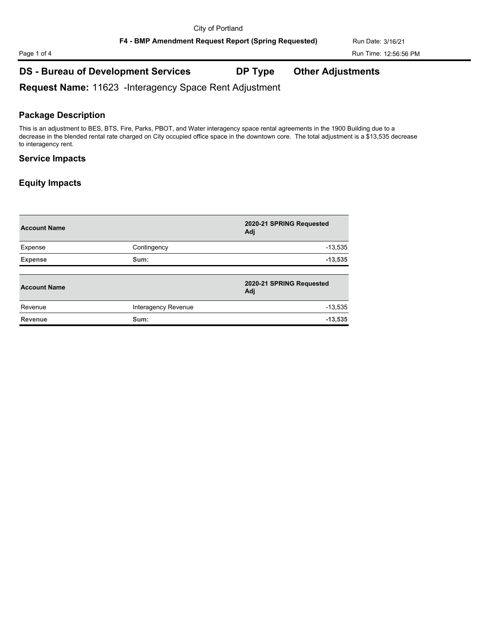# Page 1 of 4 Run Time: 12:56:56 PM

# **DS - Bureau of Development Services DP Type Other Adjustments**

**Request Name:** 11623 -Interagency Space Rent Adjustment

### **Package Description**

This is an adjustment to BES, BTS, Fire, Parks, PBOT, and Water interagency space rental agreements in the 1900 Building due to a decrease in the blended rental rate charged on City occupied office space in the downtown core. The total adjustment is a \$13,535 decrease to interagency rent.

### **Service Impacts**

| <b>Account Name</b> |                     | 2020-21 SPRING Requested<br>Adj |
|---------------------|---------------------|---------------------------------|
| Expense             | Contingency         | $-13,535$                       |
| <b>Expense</b>      | Sum:                | $-13,535$                       |
| <b>Account Name</b> |                     | 2020-21 SPRING Requested<br>Adj |
| Revenue             | Interagency Revenue | $-13,535$                       |
| <b>Revenue</b>      | Sum:                | $-13,535$                       |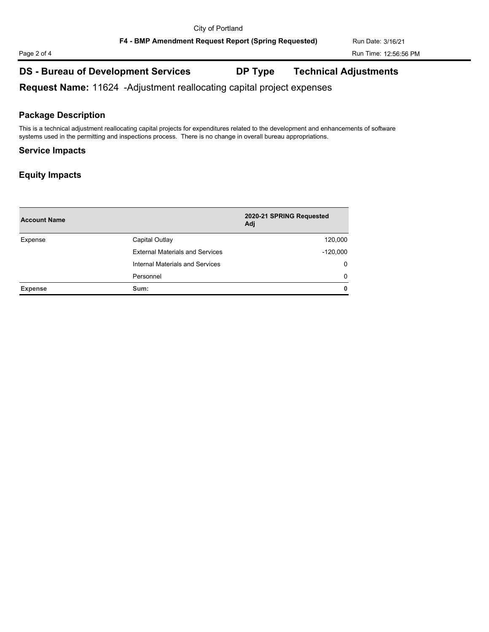# **DS - Bureau of Development Services DP Type Technical Adjustments**

**Request Name:** 11624 -Adjustment reallocating capital project expenses

### **Package Description**

This is a technical adjustment reallocating capital projects for expenditures related to the development and enhancements of software systems used in the permitting and inspections process. There is no change in overall bureau appropriations.

### **Service Impacts**

| <b>Account Name</b> |                                        | 2020-21 SPRING Requested<br>Adi |
|---------------------|----------------------------------------|---------------------------------|
| Expense             | Capital Outlay                         | 120,000                         |
|                     | <b>External Materials and Services</b> | $-120,000$                      |
|                     | Internal Materials and Services        | $\Omega$                        |
|                     | Personnel                              | $\Omega$                        |
| <b>Expense</b>      | Sum:                                   | 0                               |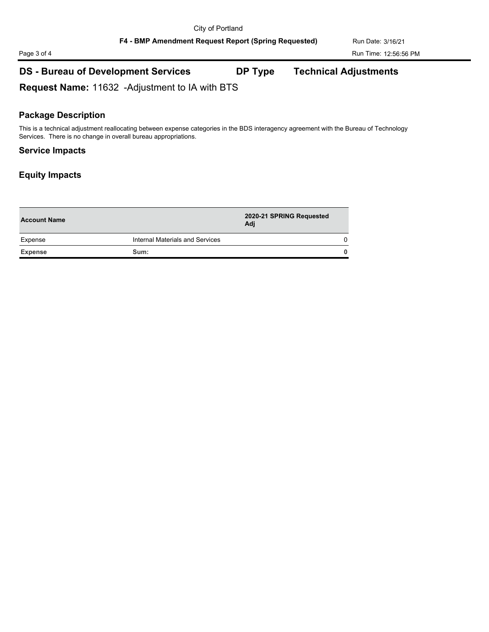# Page 3 of 4 Run Time: 12:56:56 PM

# **DS - Bureau of Development Services DP Type Technical Adjustments**

**Request Name:** 11632 -Adjustment to IA with BTS

### **Package Description**

This is a technical adjustment reallocating between expense categories in the BDS interagency agreement with the Bureau of Technology Services. There is no change in overall bureau appropriations.

### **Service Impacts**

| <b>Account Name</b> |                                 | 2020-21 SPRING Requested<br>Adj |          |
|---------------------|---------------------------------|---------------------------------|----------|
| Expense             | Internal Materials and Services |                                 | $\Omega$ |
| <b>Expense</b>      | Sum:                            |                                 | 0        |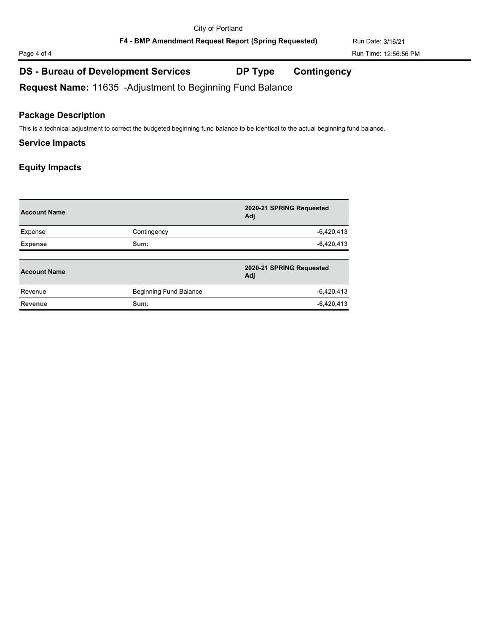# Page 4 of 4 Run Time: 12:56:56 PM

# **DS - Bureau of Development Services DP Type Contingency**

**Request Name:** 11635 -Adjustment to Beginning Fund Balance

### **Package Description**

This is a technical adjustment to correct the budgeted beginning fund balance to be identical to the actual beginning fund balance.

### **Service Impacts**

| <b>Account Name</b> |                        | 2020-21 SPRING Requested<br>Adi |
|---------------------|------------------------|---------------------------------|
| Expense             | Contingency            | $-6,420,413$                    |
| <b>Expense</b>      | Sum:                   | $-6,420,413$                    |
| <b>Account Name</b> |                        | 2020-21 SPRING Requested<br>Adj |
| Revenue             | Beginning Fund Balance | $-6,420,413$                    |
| <b>Revenue</b>      | Sum:                   | $-6,420,413$                    |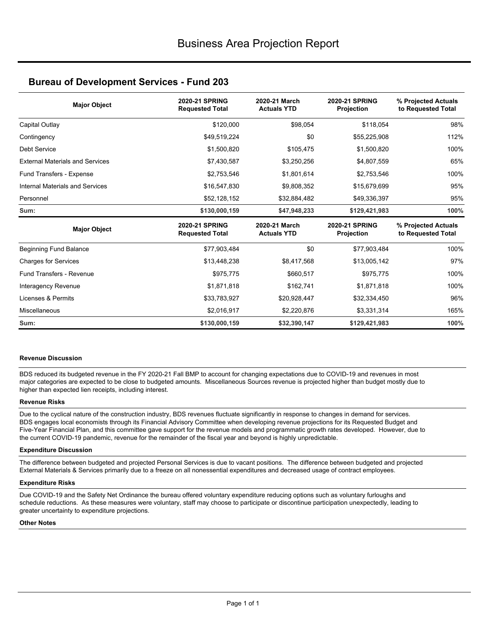### **Bureau of Development Services - Fund 203**

| <b>Major Object</b>                    | 2020-21 SPRING<br><b>Requested Total</b>        | 2020-21 March<br><b>Actuals YTD</b> | <b>2020-21 SPRING</b><br>Projection        | % Projected Actuals<br>to Requested Total |
|----------------------------------------|-------------------------------------------------|-------------------------------------|--------------------------------------------|-------------------------------------------|
| Capital Outlay                         | \$120,000                                       | \$98,054                            | \$118,054                                  | 98%                                       |
| Contingency                            | \$49,519,224                                    | \$0                                 | \$55,225,908                               | 112%                                      |
| <b>Debt Service</b>                    | \$1,500,820                                     | \$105,475                           | \$1,500,820                                | 100%                                      |
| <b>External Materials and Services</b> | \$7,430,587                                     | \$3,250,256                         | \$4,807,559                                | 65%                                       |
| Fund Transfers - Expense               | \$2,753,546                                     | \$1,801,614                         | \$2,753,546                                | 100%                                      |
| Internal Materials and Services        | \$16,547,830                                    | \$9,808,352                         | \$15,679,699                               | 95%                                       |
| Personnel                              | \$52,128,152                                    | \$32,884,482                        | \$49,336,397                               | 95%                                       |
| Sum:                                   | \$130,000,159                                   | \$47,948,233                        | \$129,421,983                              | 100%                                      |
| <b>Major Object</b>                    | <b>2020-21 SPRING</b><br><b>Requested Total</b> | 2020-21 March<br><b>Actuals YTD</b> | <b>2020-21 SPRING</b><br><b>Projection</b> | % Projected Actuals<br>to Requested Total |
| Beginning Fund Balance                 | \$77,903,484                                    | \$0                                 | \$77,903,484                               | 100%                                      |
| <b>Charges for Services</b>            | \$13,448,238                                    | \$8,417,568                         | \$13,005,142                               | 97%                                       |
| <b>Fund Transfers - Revenue</b>        | \$975,775                                       | \$660,517                           | \$975,775                                  | 100%                                      |
| Interagency Revenue                    | \$1,871,818                                     | \$162,741                           | \$1,871,818                                | 100%                                      |
| Licenses & Permits                     | \$33,783,927                                    | \$20,928,447                        | \$32,334,450                               | 96%                                       |
| Miscellaneous                          | \$2,016,917                                     | \$2,220,876                         | \$3,331,314                                | 165%                                      |
| Sum:                                   | \$130,000,159                                   | \$32,390,147                        | \$129,421,983                              | 100%                                      |

### **Revenue Discussion**

BDS reduced its budgeted revenue in the FY 2020-21 Fall BMP to account for changing expectations due to COVID-19 and revenues in most major categories are expected to be close to budgeted amounts. Miscellaneous Sources revenue is projected higher than budget mostly due to higher than expected lien receipts, including interest.

### **Revenue Risks**

Due to the cyclical nature of the construction industry, BDS revenues fluctuate significantly in response to changes in demand for services. BDS engages local economists through its Financial Advisory Committee when developing revenue projections for its Requested Budget and Five-Year Financial Plan, and this committee gave support for the revenue models and programmatic growth rates developed. However, due to the current COVID-19 pandemic, revenue for the remainder of the fiscal year and beyond is highly unpredictable.

### **Expenditure Discussion**

The difference between budgeted and projected Personal Services is due to vacant positions. The difference between budgeted and projected External Materials & Services primarily due to a freeze on all nonessential expenditures and decreased usage of contract employees.

### **Expenditure Risks**

Due COVID-19 and the Safety Net Ordinance the bureau offered voluntary expenditure reducing options such as voluntary furloughs and schedule reductions. As these measures were voluntary, staff may choose to participate or discontinue participation unexpectedly, leading to greater uncertainty to expenditure projections.

### **Other Notes**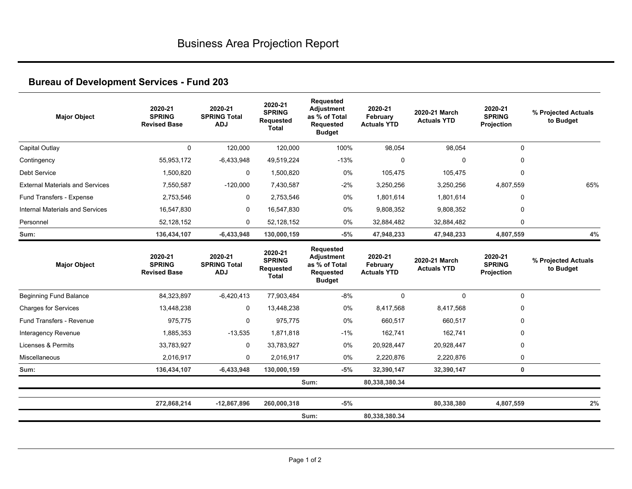# **Bureau of Development Services - Fund 203**

| <b>Major Object</b>                    | 2020-21<br><b>SPRING</b><br><b>Revised Base</b> | 2020-21<br><b>SPRING Total</b><br><b>ADJ</b> | 2020-21<br><b>SPRING</b><br><b>Requested</b><br>Total        | <b>Requested</b><br><b>Adjustment</b><br>as % of Total<br><b>Requested</b><br><b>Budget</b> | 2020-21<br>February<br><b>Actuals YTD</b> | 2020-21 March<br><b>Actuals YTD</b> | 2020-21<br><b>SPRING</b><br>Projection | % Projected Actuals<br>to Budget |
|----------------------------------------|-------------------------------------------------|----------------------------------------------|--------------------------------------------------------------|---------------------------------------------------------------------------------------------|-------------------------------------------|-------------------------------------|----------------------------------------|----------------------------------|
| Capital Outlay                         | $\mathbf{0}$                                    | 120,000                                      | 120,000                                                      | 100%                                                                                        | 98,054                                    | 98,054                              | $\mathbf 0$                            |                                  |
| Contingency                            | 55,953,172                                      | $-6,433,948$                                 | 49,519,224                                                   | $-13%$                                                                                      | $\mathbf 0$                               | $\mathbf 0$                         | $\mathbf 0$                            |                                  |
| Debt Service                           | 1,500,820                                       | $\mathbf 0$                                  | 1,500,820                                                    | 0%                                                                                          | 105,475                                   | 105,475                             | $\mathbf 0$                            |                                  |
| <b>External Materials and Services</b> | 7.550.587                                       | $-120.000$                                   | 7.430.587                                                    | $-2%$                                                                                       | 3.250.256                                 | 3,250,256                           | 4.807.559                              | 65%                              |
| Fund Transfers - Expense               | 2,753,546                                       | $\mathbf 0$                                  | 2,753,546                                                    | 0%                                                                                          | 1,801,614                                 | 1,801,614                           | $\Omega$                               |                                  |
| Internal Materials and Services        | 16,547,830                                      | 0                                            | 16,547,830                                                   | 0%                                                                                          | 9,808,352                                 | 9,808,352                           | $\Omega$                               |                                  |
| Personnel                              | 52,128,152                                      | $\mathbf 0$                                  | 52,128,152                                                   | 0%                                                                                          | 32,884,482                                | 32,884,482                          | 0                                      |                                  |
| Sum:                                   | 136,434,107                                     | $-6,433,948$                                 | 130,000,159                                                  | $-5%$                                                                                       | 47,948,233                                | 47,948,233                          | 4,807,559                              | 4%                               |
| <b>Major Object</b>                    | 2020-21<br><b>SPRING</b><br><b>Revised Base</b> | 2020-21<br><b>SPRING Total</b><br><b>ADJ</b> | 2020-21<br><b>SPRING</b><br><b>Requested</b><br><b>Total</b> | Requested<br>Adjustment<br>as % of Total<br>Requested<br><b>Budget</b>                      | 2020-21<br>February<br><b>Actuals YTD</b> | 2020-21 March<br><b>Actuals YTD</b> | 2020-21<br><b>SPRING</b><br>Projection | % Projected Actuals<br>to Budget |
| Beginning Fund Balance                 | 84,323,897                                      | $-6,420,413$                                 | 77,903,484                                                   | $-8%$                                                                                       | $\mathbf 0$                               | $\mathbf 0$                         | 0                                      |                                  |
| <b>Charges for Services</b>            | 13,448,238                                      | 0                                            | 13,448,238                                                   | 0%                                                                                          | 8,417,568                                 | 8.417.568                           | $\mathbf{0}$                           |                                  |
| Fund Transfers - Revenue               | 975.775                                         | $\mathbf 0$                                  | 975.775                                                      | 0%                                                                                          | 660.517                                   | 660.517                             | $\Omega$                               |                                  |
| Interagency Revenue                    | 1,885,353                                       | $-13,535$                                    | 1,871,818                                                    | $-1%$                                                                                       | 162,741                                   | 162,741                             | $\Omega$                               |                                  |
| <b>Licenses &amp; Permits</b>          | 33,783,927                                      | $\mathbf 0$                                  | 33,783,927                                                   | 0%                                                                                          | 20,928,447                                | 20,928,447                          | $\mathbf 0$                            |                                  |
| Miscellaneous                          | 2.016.917                                       | $\mathbf 0$                                  | 2.016.917                                                    | $0\%$                                                                                       | 2,220,876                                 | 2,220,876                           | $\mathbf 0$                            |                                  |
| Sum:                                   | 136,434,107                                     | $-6,433,948$                                 | 130,000,159                                                  | $-5%$                                                                                       | 32,390,147                                | 32,390,147                          | $\mathbf{0}$                           |                                  |
|                                        |                                                 |                                              |                                                              | Sum:                                                                                        | 80,338,380.34                             |                                     |                                        |                                  |
|                                        | 272,868,214                                     | $-12,867,896$                                | 260,000,318                                                  | $-5%$                                                                                       |                                           | 80,338,380                          | 4,807,559                              | 2%                               |
|                                        |                                                 |                                              |                                                              | Sum:                                                                                        | 80,338,380.34                             |                                     |                                        |                                  |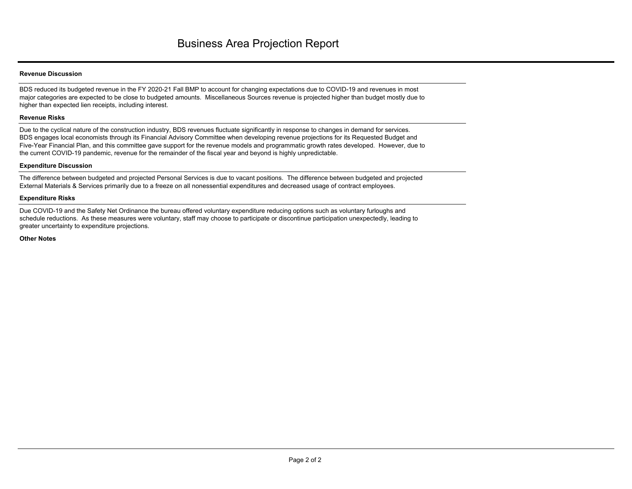### **Revenue Discussion**

BDS reduced its budgeted revenue in the FY 2020-21 Fall BMP to account for changing expectations due to COVID-19 and revenues in most major categories are expected to be close to budgeted amounts. Miscellaneous Sources revenue is projected higher than budget mostly due to higher than expected lien receipts, including interest.

### **Revenue Risks**

Due to the cyclical nature of the construction industry, BDS revenues fluctuate significantly in response to changes in demand for services. BDS engages local economists through its Financial Advisory Committee when developing revenue projections for its Requested Budget and Five-Year Financial Plan, and this committee gave support for the revenue models and programmatic growth rates developed. However, due to the current COVID-19 pandemic, revenue for the remainder of the fiscal year and beyond is highly unpredictable.

#### **Expenditure Discussion**

The difference between budgeted and projected Personal Services is due to vacant positions. The difference between budgeted and projected External Materials & Services primarily due to a freeze on all nonessential expenditures and decreased usage of contract employees.

### **Expenditure Risks**

Due COVID-19 and the Safety Net Ordinance the bureau offered voluntary expenditure reducing options such as voluntary furloughs and schedule reductions. As these measures were voluntary, staff may choose to participate or discontinue participation unexpectedly, leading to greater uncertainty to expenditure projections.

**Other Notes**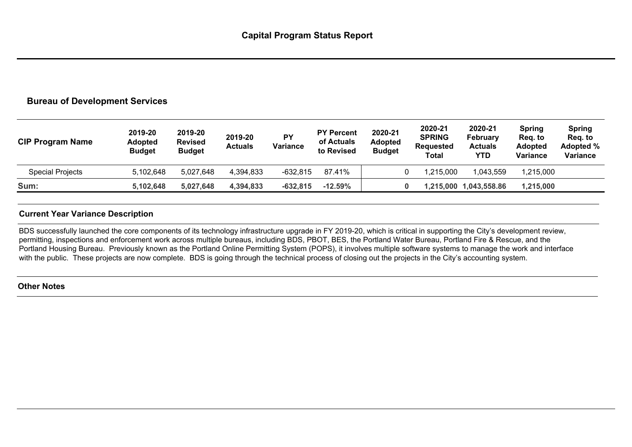### **Bureau of Development Services**

| <b>CIP Program Name</b> | 2019-20<br><b>Adopted</b><br><b>Budget</b> | 2019-20<br><b>Revised</b><br><b>Budget</b> | 2019-20<br><b>Actuals</b> | <b>PY</b><br><b>Variance</b> | <b>PY Percent</b><br>of Actuals<br>to Revised | 2020-21<br><b>Adopted</b><br><b>Budget</b> | 2020-21<br><b>SPRING</b><br><b>Requested</b><br>Total | 2020-21<br>February<br><b>Actuals</b><br>YTD | <b>Spring</b><br>Req. to<br><b>Adopted</b><br><b>Variance</b> | <b>Spring</b><br>Reg. to<br>Adopted %<br>Variance |
|-------------------------|--------------------------------------------|--------------------------------------------|---------------------------|------------------------------|-----------------------------------------------|--------------------------------------------|-------------------------------------------------------|----------------------------------------------|---------------------------------------------------------------|---------------------------------------------------|
| <b>Special Projects</b> | 5,102,648                                  | 5,027,648                                  | 4,394,833                 | $-632.815$                   | 87.41%                                        |                                            | 1,215,000                                             | 1,043,559                                    | .215,000                                                      |                                                   |
| Sum:                    | 5,102,648                                  | 5,027,648                                  | 4,394,833                 | $-632,815$                   | $-12.59\%$                                    |                                            |                                                       | 1,215,000 1,043,558.86                       | 1,215,000                                                     |                                                   |

### **Current Year Variance Description**

BDS successfully launched the core components of its technology infrastructure upgrade in FY 2019-20, which is critical in supporting the City's development review, permitting, inspections and enforcement work across multiple bureaus, including BDS, PBOT, BES, the Portland Water Bureau, Portland Fire & Rescue, and the Portland Housing Bureau. Previously known as the Portland Online Permitting System (POPS), it involves multiple software systems to manage the work and interface with the public. These projects are now complete. BDS is going through the technical process of closing out the projects in the City's accounting system.

### **Other Notes**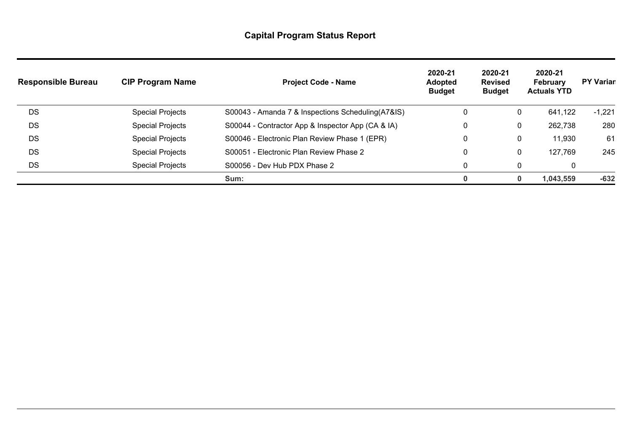| <b>Responsible Bureau</b> | <b>CIP Program Name</b> | <b>Project Code - Name</b>                         | 2020-21<br><b>Adopted</b><br><b>Budget</b> | 2020-21<br><b>Revised</b><br><b>Budget</b> | 2020-21<br>February<br><b>Actuals YTD</b> | <b>PY Variar</b> |
|---------------------------|-------------------------|----------------------------------------------------|--------------------------------------------|--------------------------------------------|-------------------------------------------|------------------|
| DS                        | <b>Special Projects</b> | S00043 - Amanda 7 & Inspections Scheduling (A7&IS) | 0                                          | $\mathbf 0$                                | 641,122                                   | $-1,221$         |
| DS                        | <b>Special Projects</b> | S00044 - Contractor App & Inspector App (CA & IA)  | 0                                          | 0                                          | 262,738                                   | 280              |
| <b>DS</b>                 | <b>Special Projects</b> | S00046 - Electronic Plan Review Phase 1 (EPR)      | $\mathbf{0}$                               | 0                                          | 11,930                                    | 61               |
| <b>DS</b>                 | <b>Special Projects</b> | S00051 - Electronic Plan Review Phase 2            | 0                                          | 0                                          | 127,769                                   | 245              |
| DS                        | <b>Special Projects</b> | S00056 - Dev Hub PDX Phase 2                       | 0                                          | 0                                          | 0                                         |                  |
|                           |                         | Sum:                                               | 0                                          |                                            | 1,043,559                                 | $-632$           |